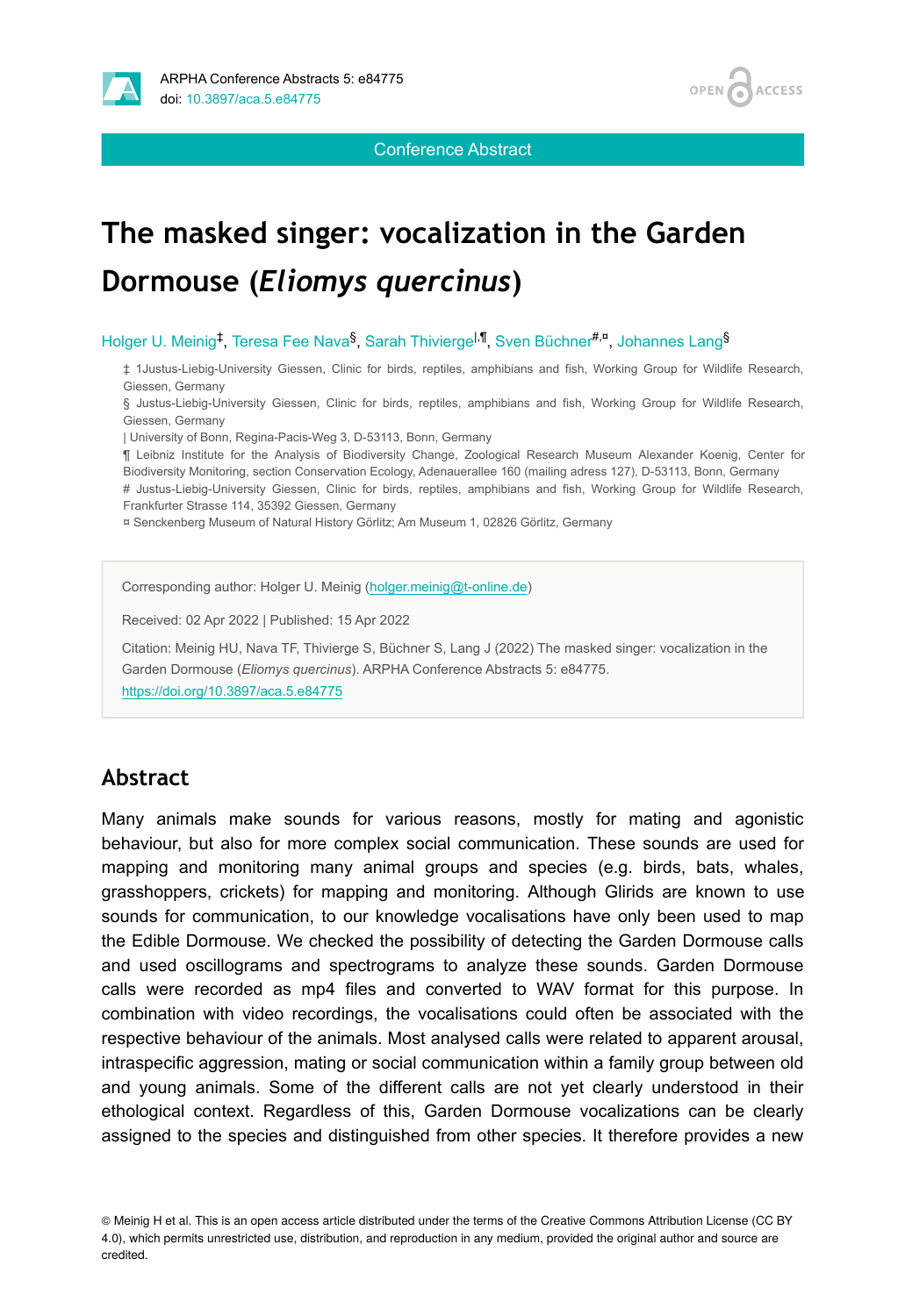



Conference Abstract

# **The masked singer: vocalization in the Garden Dormouse (***Eliomys quercinus***)**

Holger U. Meinig<sup>‡</sup>, Teresa Fee Nava<sup>§</sup>, Sarah Thivierge<sup>l,¶</sup>, Sven Büchner<sup>#,¤</sup>, Johannes Lang<sup>§</sup>

‡ 1Justus-Liebig-University Giessen, Clinic for birds, reptiles, amphibians and fish, Working Group for Wildlife Research, Giessen, Germany

§ Justus-Liebig-University Giessen, Clinic for birds, reptiles, amphibians and fish, Working Group for Wildlife Research, Giessen, Germany

| University of Bonn, Regina-Pacis-Weg 3, D-53113, Bonn, Germany

¶ Leibniz Institute for the Analysis of Biodiversity Change, Zoological Research Museum Alexander Koenig, Center for Biodiversity Monitoring, section Conservation Ecology, Adenauerallee 160 (mailing adress 127), D-53113, Bonn, Germany

# Justus-Liebig-University Giessen, Clinic for birds, reptiles, amphibians and fish, Working Group for Wildlife Research, Frankfurter Strasse 114, 35392 Giessen, Germany

¤ Senckenberg Museum of Natural History Görlitz; Am Museum 1, 02826 Görlitz, Germany

Corresponding author: Holger U. Meinig ([holger.meinig@t-online.de](mailto:holger.meinig@t-online.de))

Received: 02 Apr 2022 | Published: 15 Apr 2022

Citation: Meinig HU, Nava TF, Thivierge S, Büchner S, Lang J (2022) The masked singer: vocalization in the Garden Dormouse (*Eliomys quercinus*). ARPHA Conference Abstracts 5: e84775. <https://doi.org/10.3897/aca.5.e84775>

#### **Abstract**

Many animals make sounds for various reasons, mostly for mating and agonistic behaviour, but also for more complex social communication. These sounds are used for mapping and monitoring many animal groups and species (e.g. birds, bats, whales, grasshoppers, crickets) for mapping and monitoring. Although Glirids are known to use sounds for communication, to our knowledge vocalisations have only been used to map the Edible Dormouse. We checked the possibility of detecting the Garden Dormouse calls and used oscillograms and spectrograms to analyze these sounds. Garden Dormouse calls were recorded as mp4 files and converted to WAV format for this purpose. In combination with video recordings, the vocalisations could often be associated with the respective behaviour of the animals. Most analysed calls were related to apparent arousal, intraspecific aggression, mating or social communication within a family group between old and young animals. Some of the different calls are not yet clearly understood in their ethological context. Regardless of this, Garden Dormouse vocalizations can be clearly assigned to the species and distinguished from other species. It therefore provides a new

© Meinig H et al. This is an open access article distributed under the terms of the Creative Commons Attribution License (CC BY 4.0), which permits unrestricted use, distribution, and reproduction in any medium, provided the original author and source are credited.